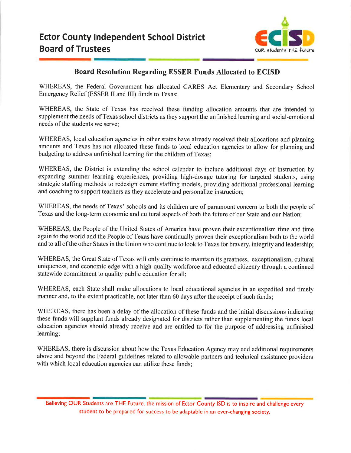

## Board Resolution Regarding ESSER Funds Allocated to ECISD

WHEREAS, the Federal Government has allocated CARES Act Elementary and Secondary School Emergency Relief (ESSER II and III) funds to Texas;

WHEREAS, the State of Texas has received these funding allocation amounts that are intended to supplement the needs of Texas school districts as they support the unfinished learning and social-emotional needs of the students we serve;

WHEREAS, local education agencies in other states have already received their allocations and planning amounts and Texas has not allocated these funds to local education agencies to allow for planning and budgeting to address unfinished learning for the children of Texas;

WHEREAS, the District is extending the school calendar to include additional days of instruction by expanding summer learning experiences, providing high-dosage tutoring for targeted students, using strategic staffing methods to redesign current staffing models, providing additional professional learning and coaching to support teachers as they accelerate and personalize instruction;

WHEREAS, the needs of Texas' schools and its children are of paramount concern to both the people of Texas and the long-term economic and cultural aspects of both the future of our State and our Nation;

WHEREAS, the People of the United States of America have proven their exceptionalism time and time again to the world and the People of Texas have continually proven their exceptionalism both to the world and to all of the other States in the Union who continue to look to Texas for bravery, integrity and leadership;

WHEREAS, the Great State of Texas will only continue to maintain its greatness, exceptionalism, cultural uniqueness, and economic edge with a high-quality workforce and educated citizenry through a continued statewide commitment to quality public education for all;

WHEREAS, each State shall make allocations to local educational agencies in an expedited and timely manner and, to the extent practicable, not later than 60 days after the receipt of such funds;

WHEREAS, there has been a delay of the allocation of these funds and the initial discussions indicating these funds will supplant funds already designated for districts rather than supplementing the funds local education agencies should already receive and are entitled to for the purpose of addressing unfinished learning;

WHEREAS, there is discussion about how the Texas Education Agency may add additional requirements above and beyond the Federal guidelines related to allowable partners and technical assistance providers with which local education agencies can utilize these funds;

Believing OUR Students are THE Future, the mission of Ector County ISD is to inspire and challenge every student to be prepared for success to be adaptable in an ever-changing society.